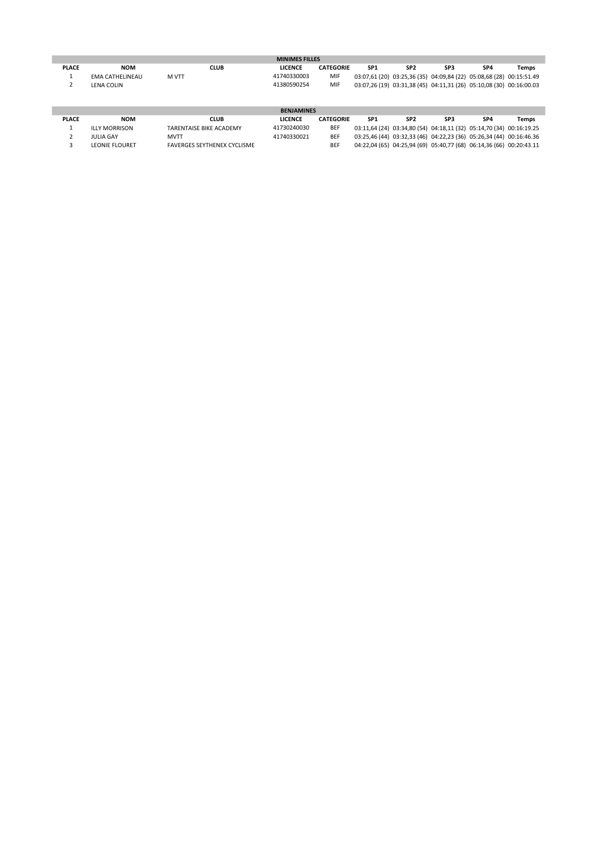| <b>MINIMES FILLES</b> |                 |       |             |                |                  |                                                                     |                 |     |                 |       |
|-----------------------|-----------------|-------|-------------|----------------|------------------|---------------------------------------------------------------------|-----------------|-----|-----------------|-------|
| <b>PLACE</b>          | <b>NOM</b>      |       | <b>CLUB</b> | <b>LICENCE</b> | <b>CATEGORIE</b> | SP <sub>1</sub>                                                     | SP <sub>2</sub> | SP3 | SP <sub>4</sub> | Temps |
|                       | EMA CATHELINEAU | M VTT |             | 41740330003    | MIF              | 03:07,61 (20) 03:25,36 (35) 04:09,84 (22) 05:08,68 (28) 00:15:51.49 |                 |     |                 |       |
|                       | LENA COLIN      |       |             | 41380590254    | MIF              | 03:07,26 (19) 03:31,38 (45) 04:11,31 (26) 05:10,08 (30) 00:16:00.03 |                 |     |                 |       |
|                       |                 |       |             |                |                  |                                                                     |                 |     |                 |       |
|                       |                 |       |             |                |                  |                                                                     |                 |     |                 |       |

| <b>BENJAMINES</b> |                       |                                    |                |                  |                                                                     |                 |     |                 |       |  |
|-------------------|-----------------------|------------------------------------|----------------|------------------|---------------------------------------------------------------------|-----------------|-----|-----------------|-------|--|
| <b>PLACE</b>      | <b>NOM</b>            | CLUB                               | <b>LICENCE</b> | <b>CATEGORIE</b> | SP1                                                                 | SP <sub>2</sub> | SP3 | SP <sub>4</sub> | Temps |  |
|                   | <b>ILLY MORRISON</b>  | TARENTAISE BIKE ACADEMY            | 41730240030    | <b>BEF</b>       | 03:11,64 (24) 03:34,80 (54) 04:18,11 (32) 05:14,70 (34) 00:16:19.25 |                 |     |                 |       |  |
|                   | JULIA GAY             | <b>MVTT</b>                        | 41740330021    | <b>BEF</b>       | 03:25,46 (44) 03:32,33 (46) 04:22,23 (36) 05:26,34 (44) 00:16:46.36 |                 |     |                 |       |  |
|                   | <b>LEONIE FLOURET</b> | <b>FAVERGES SEYTHENEX CYCLISME</b> |                | <b>BEF</b>       | 04:22,04 (65) 04:25,94 (69) 05:40,77 (68) 06:14,36 (66) 00:20:43.11 |                 |     |                 |       |  |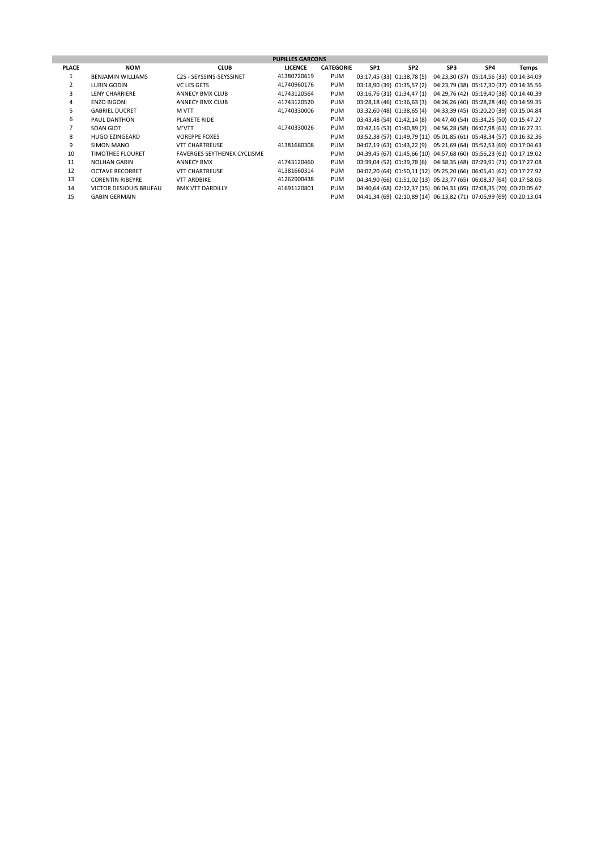| <b>PUPILLES GARCONS</b> |                          |                                    |                |                  |                              |                 |     |                                                                     |       |  |
|-------------------------|--------------------------|------------------------------------|----------------|------------------|------------------------------|-----------------|-----|---------------------------------------------------------------------|-------|--|
| <b>PLACE</b>            | <b>NOM</b>               | <b>CLUB</b>                        | <b>LICENCE</b> | <b>CATEGORIE</b> | SP <sub>1</sub>              | SP <sub>2</sub> | SP3 | SP4                                                                 | Temps |  |
|                         | <b>BENJAMIN WILLIAMS</b> | C2S - SEYSSINS-SEYSSINET           | 41380720619    | <b>PUM</b>       | 03:17,45 (33) 01:38,78 (5)   |                 |     | 04:23,30 (37) 05:14,56 (33) 00:14:34.09                             |       |  |
|                         | LUBIN GODIN              | <b>VC LES GETS</b>                 | 41740960176    | <b>PUM</b>       | 03:18,90 (39) 01:35,57 (2)   |                 |     | 04:23,79 (38) 05:17,30 (37) 00:14:35.56                             |       |  |
| 3                       | <b>LENY CHARRIERE</b>    | <b>ANNECY BMX CLUB</b>             | 41743120564    | <b>PUM</b>       | 03:16,76 (31) 01:34,47 (1)   |                 |     | 04:29,76 (42) 05:19,40 (38) 00:14:40.39                             |       |  |
| 4                       | <b>ENZO BIGONI</b>       | <b>ANNECY BMX CLUB</b>             | 41743120520    | <b>PUM</b>       | $03:28,18(46)$ $01:36,63(3)$ |                 |     | 04:26,26 (40) 05:28,28 (46) 00:14:59.35                             |       |  |
| 5                       | <b>GABRIEL DUCRET</b>    | M VTT                              | 41740330006    | <b>PUM</b>       | 03:32,60 (48) 01:38,65 (4)   |                 |     | 04:33,39 (45) 05:20,20 (39) 00:15:04.84                             |       |  |
| 6                       | PAUL DANTHON             | PLANETE RIDE                       |                | PUM              | 03:43,48 (54) 01:42,14 (8)   |                 |     | 04:47,40 (54) 05:34,25 (50) 00:15:47.27                             |       |  |
|                         | SOAN GIOT                | M'VTT                              | 41740330026    | <b>PUM</b>       |                              |                 |     | 03:42,16 (53) 01:40,89 (7) 04:56,28 (58) 06:07,98 (63) 00:16:27.31  |       |  |
| 8                       | <b>HUGO EZINGEARD</b>    | <b>VOREPPE FOXES</b>               |                | <b>PUM</b>       |                              |                 |     | 03:52,38 (57) 01:49,79 (11) 05:01,85 (61) 05:48,34 (57) 00:16:32.36 |       |  |
| 9                       | SIMON MANO               | <b>VTT CHARTREUSE</b>              | 41381660308    | <b>PUM</b>       |                              |                 |     | 04:07,19 (63) 01:43,22 (9) 05:21,69 (64) 05:52,53 (60) 00:17:04.63  |       |  |
| 10                      | <b>TIMOTHEE FLOURET</b>  | <b>FAVERGES SEYTHENEX CYCLISME</b> |                | PUM              |                              |                 |     | 04:39,45 (67) 01:45,66 (10) 04:57,68 (60) 05:56,23 (61) 00:17:19.02 |       |  |
| 11                      | <b>NOLHAN GARIN</b>      | <b>ANNECY BMX</b>                  | 41743120460    | <b>PUM</b>       |                              |                 |     | 03:39,04 (52) 01:39,78 (6) 04:38,35 (48) 07:29,91 (71) 00:17:27.08  |       |  |
| 12                      | <b>OCTAVE RECORBET</b>   | <b>VTT CHARTREUSE</b>              | 41381660314    | <b>PUM</b>       |                              |                 |     | 04:07,20 (64) 01:50,11 (12) 05:25,20 (66) 06:05,41 (62) 00:17:27.92 |       |  |
| 13                      | <b>CORENTIN RIBEYRE</b>  | <b>VTT ARDBIKE</b>                 | 41262900438    | <b>PUM</b>       |                              |                 |     | 04:34,90 (66) 01:51,02 (13) 05:23,77 (65) 06:08,37 (64) 00:17:58.06 |       |  |
| 14                      | VICTOR DESJOUIS BRUFAU   | <b>BMX VTT DARDILLY</b>            | 41691120801    | PUM              |                              |                 |     | 04:40,64 (68) 02:12,37 (15) 06:04,31 (69) 07:08,35 (70) 00:20:05.67 |       |  |
| 15                      | <b>GABIN GERMAIN</b>     |                                    |                | <b>PUM</b>       |                              |                 |     | 04:41,34 (69) 02:10,89 (14) 06:13,82 (71) 07:06,99 (69) 00:20:13.04 |       |  |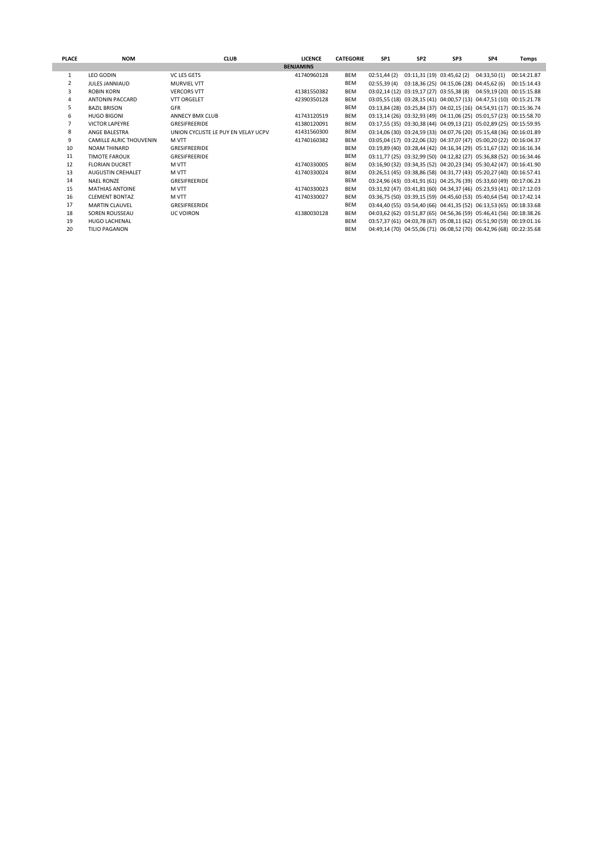| <b>PLACE</b> | <b>NOM</b>                     | <b>CLUB</b>                         | <b>LICENCE</b>   | <b>CATEGORIE</b> | SP <sub>1</sub> | SP <sub>2</sub>                          | SP <sub>3</sub> | SP4                                                                 | Temps       |
|--------------|--------------------------------|-------------------------------------|------------------|------------------|-----------------|------------------------------------------|-----------------|---------------------------------------------------------------------|-------------|
|              |                                |                                     | <b>BENJAMINS</b> |                  |                 |                                          |                 |                                                                     |             |
| 1            | <b>LEO GODIN</b>               | VC LES GETS                         | 41740960128      | BEM              | 02:51,44(2)     | 03:11,31 (19) 03:45,62 (2)               |                 | 04:33,50(1)                                                         | 00:14:21.87 |
| 2            | <b>JULES JANNIAUD</b>          | <b>MURVIEL VTT</b>                  |                  | <b>BEM</b>       | 02:55.39(4)     | 03:18,36 (25) 04:15,06 (28) 04:45,62 (6) |                 |                                                                     | 00:15:14.43 |
| 3            | <b>ROBIN KORN</b>              | <b>VERCORS VTT</b>                  | 41381550382      | BEM              |                 |                                          |                 | 03:02,14 (12) 03:19,17 (27) 03:55,38 (8) 04:59,19 (20) 00:15:15.88  |             |
| 4            | <b>ANTONIN PACCARD</b>         | <b>VTT ORGELET</b>                  | 42390350128      | <b>BEM</b>       |                 |                                          |                 | 03:05,55 (18) 03:28,15 (41) 04:00,57 (13) 04:47,51 (10) 00:15:21.78 |             |
| 5            | <b>BAZIL BRISON</b>            | GFR                                 |                  | <b>BEM</b>       |                 |                                          |                 | 03:13,84 (28) 03:25,84 (37) 04:02,15 (16) 04:54,91 (17) 00:15:36.74 |             |
| 6            | <b>HUGO BIGONI</b>             | ANNECY BMX CLUB                     | 41743120519      | BEM              |                 |                                          |                 | 03:13,14 (26) 03:32,93 (49) 04:11,06 (25) 05:01,57 (23) 00:15:58.70 |             |
| 7            | <b>VICTOR LAPEYRE</b>          | GRESIFREERIDE                       | 41380120091      | BEM              |                 |                                          |                 | 03:17,55 (35) 03:30,38 (44) 04:09,13 (21) 05:02,89 (25) 00:15:59.95 |             |
| 8            | ANGE BALESTRA                  | UNION CYCLISTE LE PUY EN VELAY UCPV | 41431560300      | <b>BEM</b>       |                 |                                          |                 | 03:14,06 (30) 03:24,59 (33) 04:07,76 (20) 05:15,48 (36) 00:16:01.89 |             |
| 9            | <b>CAMILLE ALRIC THOUVENIN</b> | <b>MVTT</b>                         | 41740160382      | BEM              |                 |                                          |                 | 03:05,04 (17) 03:22,06 (32) 04:37,07 (47) 05:00,20 (22) 00:16:04.37 |             |
| 10           | <b>NOAM THINARD</b>            | GRESIFREERIDE                       |                  | BEM              |                 |                                          |                 | 03:19,89 (40) 03:28,44 (42) 04:16,34 (29) 05:11,67 (32) 00:16:16.34 |             |
| 11           | <b>TIMOTE FAROUX</b>           | GRESIFREERIDE                       |                  | <b>BEM</b>       |                 |                                          |                 | 03:11,77 (25) 03:32,99 (50) 04:12,82 (27) 05:36,88 (52) 00:16:34.46 |             |
| 12           | <b>FLORIAN DUCRET</b>          | M VTT                               | 41740330005      | BEM              |                 |                                          |                 | 03:16,90 (32) 03:34,35 (52) 04:20,23 (34) 05:30,42 (47) 00:16:41.90 |             |
| 13           | <b>AUGUSTIN CREHALET</b>       | M VTT                               | 41740330024      | BEM              |                 |                                          |                 | 03:26,51 (45) 03:38,86 (58) 04:31,77 (43) 05:20,27 (40) 00:16:57.41 |             |
| 14           | <b>NAEL RONZE</b>              | GRESIFREERIDE                       |                  | BEM              |                 |                                          |                 | 03:24,96 (43) 03:41,91 (61) 04:25,76 (39) 05:33,60 (49) 00:17:06.23 |             |
| 15           | MATHIAS ANTOINE                | M VTT                               | 41740330023      | <b>BEM</b>       |                 |                                          |                 | 03:31,92 (47) 03:41,81 (60) 04:34,37 (46) 05:23,93 (41) 00:17:12.03 |             |
| 16           | <b>CLEMENT BONTAZ</b>          | M VTT                               | 41740330027      | BEM              |                 |                                          |                 | 03:36,75 (50) 03:39,15 (59) 04:45,60 (53) 05:40,64 (54) 00:17:42.14 |             |
| 17           | <b>MARTIN CLAUVEL</b>          | GRESIFREERIDE                       |                  | <b>BEM</b>       |                 |                                          |                 | 03:44,40 (55) 03:54,40 (66) 04:41,35 (52) 06:13,53 (65) 00:18:33.68 |             |
| 18           | SOREN ROUSSEAU                 | <b>UC VOIRON</b>                    | 41380030128      | BEM              |                 |                                          |                 | 04:03,62 (62) 03:51,87 (65) 04:56,36 (59) 05:46,41 (56) 00:18:38.26 |             |
| 19           | <b>HUGO LACHENAL</b>           |                                     |                  | <b>BEM</b>       |                 |                                          |                 | 03:57,37 (61) 04:03,78 (67) 05:08,11 (62) 05:51,90 (59) 00:19:01.16 |             |
| 20           | <b>TILIO PAGANON</b>           |                                     |                  | <b>BEM</b>       |                 |                                          |                 | 04:49,14 (70) 04:55,06 (71) 06:08,52 (70) 06:42,96 (68) 00:22:35.68 |             |